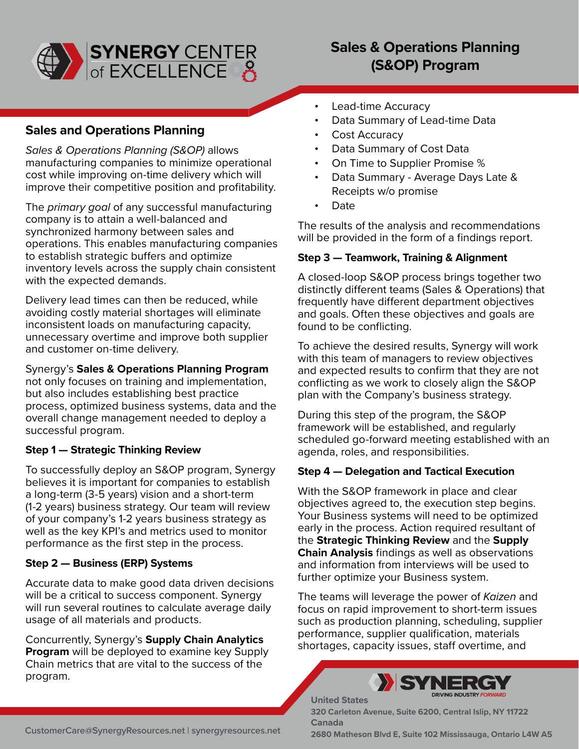

# **Sales & Operations Planning (S&OP) Program**

## **Sales and Operations Planning**

*Sales & Operations Planning (S&OP)* allows manufacturing companies to minimize operational cost while improving on-time delivery which will improve their competitive position and profitability.

The *primary goal* of any successful manufacturing company is to attain a well-balanced and synchronized harmony between sales and operations. This enables manufacturing companies to establish strategic buffers and optimize inventory levels across the supply chain consistent with the expected demands.

Delivery lead times can then be reduced, while avoiding costly material shortages will eliminate inconsistent loads on manufacturing capacity, unnecessary overtime and improve both supplier and customer on-time delivery.

Synergy's **Sales & Operations Planning Program**  not only focuses on training and implementation, but also includes establishing best practice process, optimized business systems, data and the overall change management needed to deploy a successful program.

### **Step 1 — Strategic Thinking Review**

To successfully deploy an S&OP program, Synergy believes it is important for companies to establish a long-term (3-5 years) vision and a short-term (1-2 years) business strategy. Our team will review of your company's 1-2 years business strategy as well as the key KPI's and metrics used to monitor performance as the first step in the process.

### **Step 2 — Business (ERP) Systems**

Accurate data to make good data driven decisions will be a critical to success component. Synergy will run several routines to calculate average daily usage of all materials and products.

Concurrently, Synergy's **Supply Chain Analytics Program** will be deployed to examine key Supply Chain metrics that are vital to the success of the program.

- Lead-time Accuracy
- Data Summary of Lead-time Data
- Cost Accuracy
- Data Summary of Cost Data
- On Time to Supplier Promise %
- Data Summary Average Days Late & Receipts w/o promise
- Date

The results of the analysis and recommendations will be provided in the form of a findings report.

#### **Step 3 — Teamwork, Training & Alignment**

A closed-loop S&OP process brings together two distinctly different teams (Sales & Operations) that frequently have different department objectives and goals. Often these objectives and goals are found to be conflicting.

To achieve the desired results, Synergy will work with this team of managers to review objectives and expected results to confirm that they are not conflicting as we work to closely align the S&OP plan with the Company's business strategy.

During this step of the program, the S&OP framework will be established, and regularly scheduled go-forward meeting established with an agenda, roles, and responsibilities.

#### **Step 4 — Delegation and Tactical Execution**

With the S&OP framework in place and clear objectives agreed to, the execution step begins. Your Business systems will need to be optimized early in the process. Action required resultant of the **Strategic Thinking Review** and the **Supply Chain Analysis** findings as well as observations and information from interviews will be used to further optimize your Business system.

The teams will leverage the power of *Kaizen* and focus on rapid improvement to short-term issues such as production planning, scheduling, supplier performance, supplier qualification, materials shortages, capacity issues, staff overtime, and



**320 Carleton Avenue, Suite 6200, Central Islip, NY 11722 Canada**

**United States**

**2680 Matheson Blvd E, Suite 102 Mississauga, Ontario L4W A5 [C](mailto:customercare@synergyresources.net)ustomerCare@SynergyResources.net [|](mailto:customercare@synergyresources.net) [s](https://synergyresources.net/)ynergyresources.net**